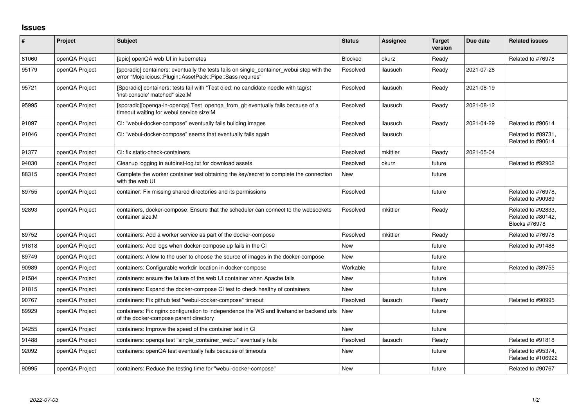## **Issues**

| $\sharp$ | Project        | Subject                                                                                                                                                  | <b>Status</b> | <b>Assignee</b> | <b>Target</b><br>version | Due date   | <b>Related issues</b>                                     |
|----------|----------------|----------------------------------------------------------------------------------------------------------------------------------------------------------|---------------|-----------------|--------------------------|------------|-----------------------------------------------------------|
| 81060    | openQA Project | [epic] openQA web UI in kubernetes                                                                                                                       | Blocked       | okurz           | Ready                    |            | Related to #76978                                         |
| 95179    | openQA Project | [sporadic] containers: eventually the tests fails on single_container_webui step with the<br>error "Mojolicious::Plugin::AssetPack::Pipe::Sass requires" | Resolved      | ilausuch        | Ready                    | 2021-07-28 |                                                           |
| 95721    | openQA Project | [Sporadic] containers: tests fail with "Test died: no candidate needle with tag(s)<br>'inst-console' matched" size:M                                     | Resolved      | ilausuch        | Ready                    | 2021-08-19 |                                                           |
| 95995    | openQA Project | [sporadic][openqa-in-openqa] Test openqa_from_git eventually fails because of a<br>timeout waiting for webui service size:M                              | Resolved      | ilausuch        | Ready                    | 2021-08-12 |                                                           |
| 91097    | openQA Project | CI: "webui-docker-compose" eventually fails building images                                                                                              | Resolved      | ilausuch        | Ready                    | 2021-04-29 | Related to #90614                                         |
| 91046    | openQA Project | CI: "webui-docker-compose" seems that eventually fails again                                                                                             | Resolved      | ilausuch        |                          |            | Related to #89731,<br>Related to #90614                   |
| 91377    | openQA Project | CI: fix static-check-containers                                                                                                                          | Resolved      | mkittler        | Ready                    | 2021-05-04 |                                                           |
| 94030    | openQA Project | Cleanup logging in autoinst-log.txt for download assets                                                                                                  | Resolved      | okurz           | future                   |            | Related to #92902                                         |
| 88315    | openQA Project | Complete the worker container test obtaining the key/secret to complete the connection<br>with the web UI                                                | <b>New</b>    |                 | future                   |            |                                                           |
| 89755    | openQA Project | container: Fix missing shared directories and its permissions                                                                                            | Resolved      |                 | future                   |            | Related to #76978.<br>Related to #90989                   |
| 92893    | openQA Project | containers, docker-compose: Ensure that the scheduler can connect to the websockets<br>container size:M                                                  | Resolved      | mkittler        | Ready                    |            | Related to #92833.<br>Related to #80142.<br>Blocks #76978 |
| 89752    | openQA Project | containers: Add a worker service as part of the docker-compose                                                                                           | Resolved      | mkittler        | Ready                    |            | Related to #76978                                         |
| 91818    | openQA Project | containers: Add logs when docker-compose up fails in the CI                                                                                              | <b>New</b>    |                 | future                   |            | Related to #91488                                         |
| 89749    | openQA Project | containers: Allow to the user to choose the source of images in the docker-compose                                                                       | <b>New</b>    |                 | future                   |            |                                                           |
| 90989    | openQA Project | containers: Configurable workdir location in docker-compose                                                                                              | Workable      |                 | future                   |            | Related to #89755                                         |
| 91584    | openQA Project | containers: ensure the failure of the web UI container when Apache fails                                                                                 | <b>New</b>    |                 | future                   |            |                                                           |
| 91815    | openQA Project | containers: Expand the docker-compose CI test to check healthy of containers                                                                             | <b>New</b>    |                 | future                   |            |                                                           |
| 90767    | openQA Project | containers: Fix github test "webui-docker-compose" timeout                                                                                               | Resolved      | ilausuch        | Ready                    |            | Related to #90995                                         |
| 89929    | openQA Project | containers: Fix nginx configuration to independence the WS and livehandler backend urls<br>of the docker-compose parent directory                        | <b>New</b>    |                 | future                   |            |                                                           |
| 94255    | openQA Project | containers: Improve the speed of the container test in CI                                                                                                | <b>New</b>    |                 | future                   |            |                                                           |
| 91488    | openQA Project | containers: openqa test "single_container_webui" eventually fails                                                                                        | Resolved      | ilausuch        | Ready                    |            | Related to #91818                                         |
| 92092    | openQA Project | containers: openQA test eventually fails because of timeouts                                                                                             | <b>New</b>    |                 | future                   |            | Related to #95374,<br>Related to #106922                  |
| 90995    | openQA Project | containers: Reduce the testing time for "webui-docker-compose"                                                                                           | New           |                 | future                   |            | Related to #90767                                         |